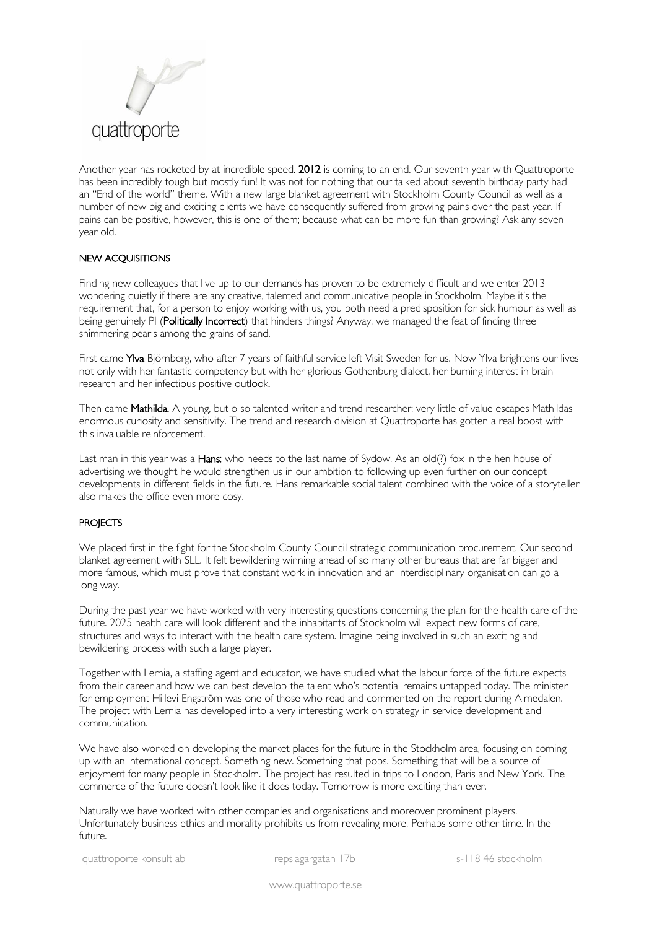

Another year has rocketed by at incredible speed. 2012 is coming to an end. Our seventh year with Quattroporte has been incredibly tough but mostly fun! It was not for nothing that our talked about seventh birthday party had an "End of the world" theme. With a new large blanket agreement with Stockholm County Council as well as a number of new big and exciting clients we have consequently suffered from growing pains over the past year. If pains can be positive, however, this is one of them; because what can be more fun than growing? Ask any seven year old.

## NEW ACQUISITIONS

Finding new colleagues that live up to our demands has proven to be extremely difficult and we enter 2013 wondering quietly if there are any creative, talented and communicative people in Stockholm. Maybe it's the requirement that, for a person to enjoy working with us, you both need a predisposition for sick humour as well as being genuinely PI (Politically Incorrect) that hinders things? Anyway, we managed the feat of finding three shimmering pearls among the grains of sand.

First came Ylva Björnberg, who after 7 years of faithful service left Visit Sweden for us. Now Ylva brightens our lives not only with her fantastic competency but with her glorious Gothenburg dialect, her burning interest in brain research and her infectious positive outlook.

Then came Mathilda. A young, but o so talented writer and trend researcher; very little of value escapes Mathildas enormous curiosity and sensitivity. The trend and research division at Quattroporte has gotten a real boost with this invaluable reinforcement.

Last man in this year was a **Hans**; who heeds to the last name of Sydow. As an old(?) fox in the hen house of advertising we thought he would strengthen us in our ambition to following up even further on our concept developments in different fields in the future. Hans remarkable social talent combined with the voice of a storyteller also makes the office even more cosy.

## **PROJECTS**

We placed first in the fight for the Stockholm County Council strategic communication procurement. Our second blanket agreement with SLL. It felt bewildering winning ahead of so many other bureaus that are far bigger and more famous, which must prove that constant work in innovation and an interdisciplinary organisation can go a long way.

During the past year we have worked with very interesting questions concerning the plan for the health care of the future. 2025 health care will look different and the inhabitants of Stockholm will expect new forms of care, structures and ways to interact with the health care system. Imagine being involved in such an exciting and bewildering process with such a large player.

Together with Lernia, a staffing agent and educator, we have studied what the labour force of the future expects from their career and how we can best develop the talent who's potential remains untapped today. The minister for employment Hillevi Engström was one of those who read and commented on the report during Almedalen. The project with Lernia has developed into a very interesting work on strategy in service development and communication.

We have also worked on developing the market places for the future in the Stockholm area, focusing on coming up with an international concept. Something new. Something that pops. Something that will be a source of enjoyment for many people in Stockholm. The project has resulted in trips to London, Paris and New York. The commerce of the future doesn't look like it does today. Tomorrow is more exciting than ever.

Naturally we have worked with other companies and organisations and moreover prominent players. Unfortunately business ethics and morality prohibits us from revealing more. Perhaps some other time. In the future.

www.quattroporte.se